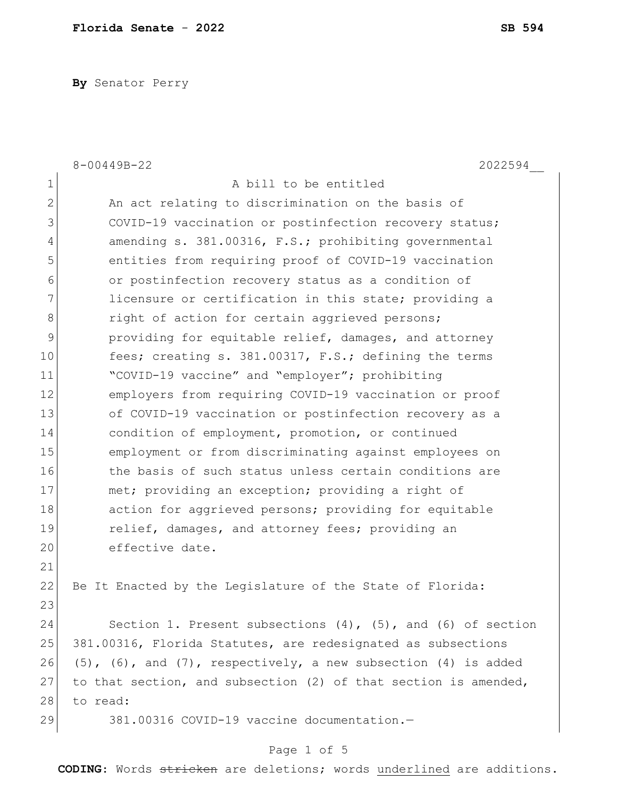**By** Senator Perry

|                | $8 - 00449B - 22$<br>2022594                                              |
|----------------|---------------------------------------------------------------------------|
| 1              | A bill to be entitled                                                     |
| $\mathbf{2}$   | An act relating to discrimination on the basis of                         |
| 3              | COVID-19 vaccination or postinfection recovery status;                    |
| $\overline{4}$ | amending s. 381.00316, F.S.; prohibiting governmental                     |
| 5              | entities from requiring proof of COVID-19 vaccination                     |
| $6\,$          | or postinfection recovery status as a condition of                        |
| 7              | licensure or certification in this state; providing a                     |
| $\,8\,$        | right of action for certain aggrieved persons;                            |
| 9              | providing for equitable relief, damages, and attorney                     |
| 10             | fees; creating s. 381.00317, F.S.; defining the terms                     |
| 11             | "COVID-19 vaccine" and "employer"; prohibiting                            |
| 12             | employers from requiring COVID-19 vaccination or proof                    |
| 13             | of COVID-19 vaccination or postinfection recovery as a                    |
| 14             | condition of employment, promotion, or continued                          |
| 15             | employment or from discriminating against employees on                    |
| 16             | the basis of such status unless certain conditions are                    |
| 17             | met; providing an exception; providing a right of                         |
| 18             | action for aggrieved persons; providing for equitable                     |
| 19             | relief, damages, and attorney fees; providing an                          |
| 20             | effective date.                                                           |
| 21             |                                                                           |
| 22             | Be It Enacted by the Legislature of the State of Florida:                 |
| 23             |                                                                           |
| 24             | Section 1. Present subsections $(4)$ , $(5)$ , and $(6)$ of section       |
| 25             | 381.00316, Florida Statutes, are redesignated as subsections              |
| 26             | $(5)$ , $(6)$ , and $(7)$ , respectively, a new subsection $(4)$ is added |
| 27             | to that section, and subsection (2) of that section is amended,           |
| 28             | to read:                                                                  |
| 29             | 381.00316 COVID-19 vaccine documentation.-                                |
|                |                                                                           |

# Page 1 of 5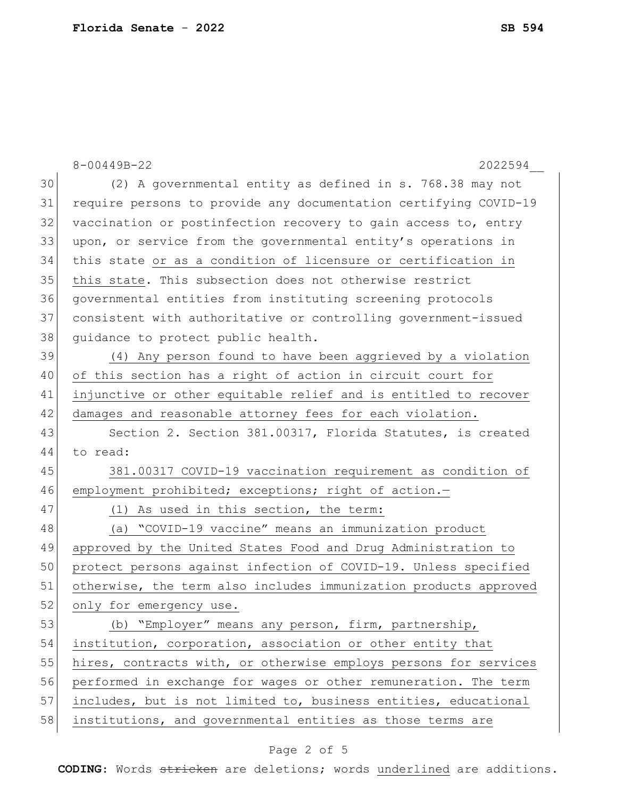|    | $8 - 00449B - 22$<br>2022594                                     |
|----|------------------------------------------------------------------|
| 30 | (2) A governmental entity as defined in s. 768.38 may not        |
| 31 | require persons to provide any documentation certifying COVID-19 |
| 32 | vaccination or postinfection recovery to gain access to, entry   |
| 33 | upon, or service from the governmental entity's operations in    |
| 34 | this state or as a condition of licensure or certification in    |
| 35 | this state. This subsection does not otherwise restrict          |
| 36 | governmental entities from instituting screening protocols       |
| 37 | consistent with authoritative or controlling government-issued   |
| 38 | quidance to protect public health.                               |
| 39 | (4) Any person found to have been aggrieved by a violation       |
| 40 | of this section has a right of action in circuit court for       |
| 41 | injunctive or other equitable relief and is entitled to recover  |
| 42 | damages and reasonable attorney fees for each violation.         |
| 43 | Section 2. Section 381.00317, Florida Statutes, is created       |
| 44 | to read:                                                         |
| 45 | 381.00317 COVID-19 vaccination requirement as condition of       |
| 46 | employment prohibited; exceptions; right of action.-             |
| 47 | (1) As used in this section, the term:                           |
| 48 | (a) "COVID-19 vaccine" means an immunization product             |
| 49 | approved by the United States Food and Drug Administration to    |
| 50 | protect persons against infection of COVID-19. Unless specified  |
| 51 | otherwise, the term also includes immunization products approved |
| 52 | only for emergency use.                                          |
| 53 | (b) "Employer" means any person, firm, partnership,              |
| 54 | institution, corporation, association or other entity that       |
| 55 | hires, contracts with, or otherwise employs persons for services |
| 56 | performed in exchange for wages or other remuneration. The term  |
| 57 | includes, but is not limited to, business entities, educational  |
| 58 | institutions, and governmental entities as those terms are       |

# Page 2 of 5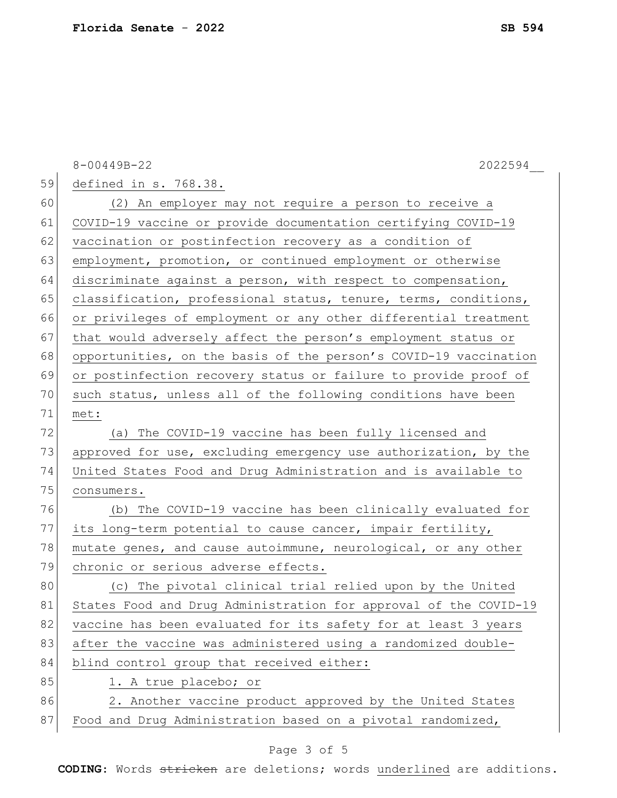|    | 8-00449B-22<br>2022594                                           |
|----|------------------------------------------------------------------|
| 59 | defined in s. 768.38.                                            |
| 60 | (2) An employer may not require a person to receive a            |
| 61 | COVID-19 vaccine or provide documentation certifying COVID-19    |
| 62 | vaccination or postinfection recovery as a condition of          |
| 63 | employment, promotion, or continued employment or otherwise      |
| 64 | discriminate against a person, with respect to compensation,     |
| 65 | classification, professional status, tenure, terms, conditions,  |
| 66 | or privileges of employment or any other differential treatment  |
| 67 | that would adversely affect the person's employment status or    |
| 68 | opportunities, on the basis of the person's COVID-19 vaccination |
| 69 | or postinfection recovery status or failure to provide proof of  |
| 70 | such status, unless all of the following conditions have been    |
| 71 | met:                                                             |
| 72 | (a) The COVID-19 vaccine has been fully licensed and             |
| 73 | approved for use, excluding emergency use authorization, by the  |
| 74 | United States Food and Drug Administration and is available to   |
| 75 | consumers.                                                       |
| 76 | (b) The COVID-19 vaccine has been clinically evaluated for       |
| 77 | its long-term potential to cause cancer, impair fertility,       |
| 78 | mutate genes, and cause autoimmune, neurological, or any other   |
| 79 | chronic or serious adverse effects.                              |
| 80 | (c) The pivotal clinical trial relied upon by the United         |
| 81 | States Food and Drug Administration for approval of the COVID-19 |
| 82 | vaccine has been evaluated for its safety for at least 3 years   |
| 83 | after the vaccine was administered using a randomized double-    |
| 84 | blind control group that received either:                        |
| 85 | 1. A true placebo; or                                            |
| 86 | 2. Another vaccine product approved by the United States         |
| 87 | Food and Drug Administration based on a pivotal randomized,      |

# Page 3 of 5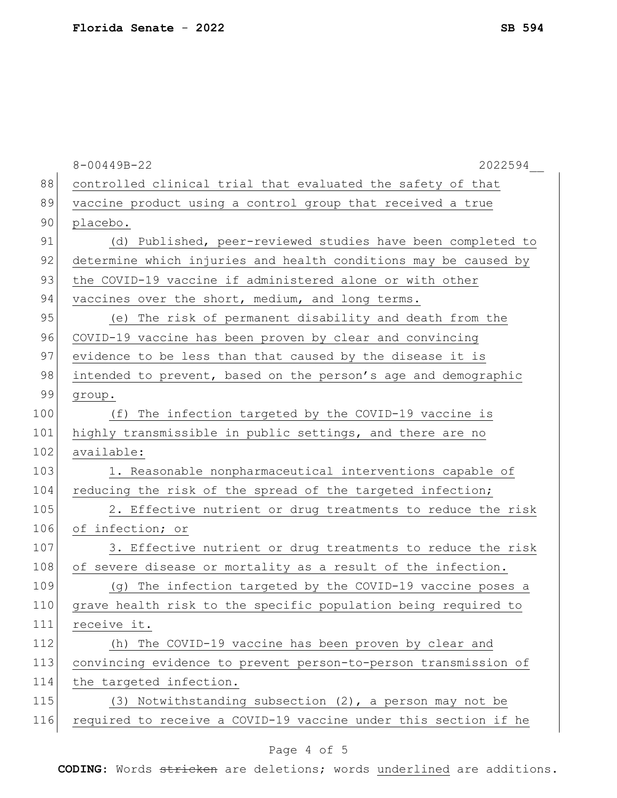|     | 2022594<br>$8 - 00449B - 22$                                    |
|-----|-----------------------------------------------------------------|
| 88  | controlled clinical trial that evaluated the safety of that     |
| 89  | vaccine product using a control group that received a true      |
| 90  | placebo.                                                        |
| 91  | (d) Published, peer-reviewed studies have been completed to     |
| 92  | determine which injuries and health conditions may be caused by |
| 93  | the COVID-19 vaccine if administered alone or with other        |
| 94  | vaccines over the short, medium, and long terms.                |
| 95  | (e) The risk of permanent disability and death from the         |
| 96  | COVID-19 vaccine has been proven by clear and convincing        |
| 97  | evidence to be less than that caused by the disease it is       |
| 98  | intended to prevent, based on the person's age and demographic  |
| 99  | group.                                                          |
| 100 | (f) The infection targeted by the COVID-19 vaccine is           |
| 101 | highly transmissible in public settings, and there are no       |
| 102 | available:                                                      |
| 103 | 1. Reasonable nonpharmaceutical interventions capable of        |
| 104 | reducing the risk of the spread of the targeted infection;      |
| 105 | 2. Effective nutrient or drug treatments to reduce the risk     |
| 106 | of infection; or                                                |
| 107 | 3. Effective nutrient or drug treatments to reduce the risk     |
| 108 | of severe disease or mortality as a result of the infection.    |
| 109 | (g) The infection targeted by the COVID-19 vaccine poses a      |
| 110 | grave health risk to the specific population being required to  |
| 111 | receive it.                                                     |
| 112 | (h) The COVID-19 vaccine has been proven by clear and           |
| 113 | convincing evidence to prevent person-to-person transmission of |
| 114 | the targeted infection.                                         |
| 115 | (3) Notwithstanding subsection (2), a person may not be         |
| 116 | required to receive a COVID-19 vaccine under this section if he |
|     |                                                                 |

# Page 4 of 5